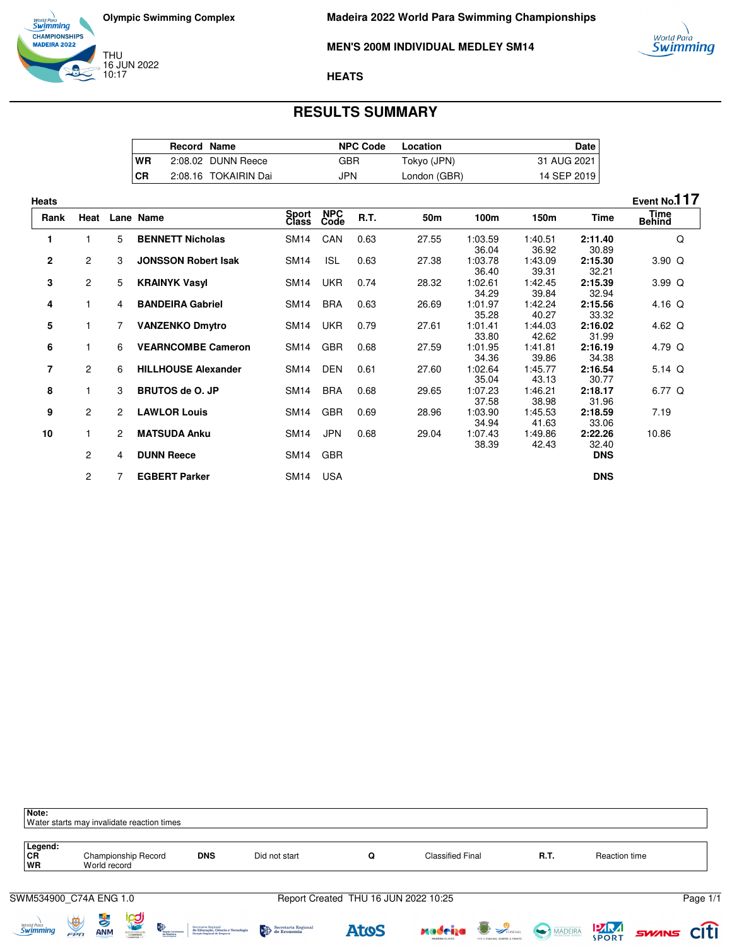

#### **MEN'S 200M INDIVIDUAL MEDLEY SM14**

#### **HEATS**

## **RESULTS SUMMARY**

|           | <b>Record Name</b> |                      | <b>NPC Code</b> | Location     | Date I        |
|-----------|--------------------|----------------------|-----------------|--------------|---------------|
| <b>WR</b> |                    | 2:08.02 DUNN Reece   | GBR             | Tokyo (JPN)  | 31 AUG 2021 I |
| <b>CR</b> |                    | 2:08.16 TOKAIRIN Dai | JPN             | London (GBR) | 14 SEP 2019   |

| <b>Heats</b>   |                       |                |                            |                  |                    |      |       |                           |                           |                           | Event No.117          |
|----------------|-----------------------|----------------|----------------------------|------------------|--------------------|------|-------|---------------------------|---------------------------|---------------------------|-----------------------|
| Rank           | Heat                  |                | Lane Name                  | Sport<br>Class   | <b>NPC</b><br>Code | R.T. | 50m   | 100m                      | 150m                      | Time                      | Time<br><b>Behind</b> |
| 1              | 1                     | 5              | <b>BENNETT Nicholas</b>    | <b>SM14</b>      | CAN                | 0.63 | 27.55 | 1:03.59                   | 1:40.51                   | 2:11.40                   | Q                     |
| $\mathbf{2}$   | $\mathbf{2}^{\prime}$ | 3              | <b>JONSSON Robert Isak</b> | <b>SM14</b>      | <b>ISL</b>         | 0.63 | 27.38 | 36.04<br>1:03.78<br>36.40 | 36.92<br>1:43.09<br>39.31 | 30.89<br>2:15.30<br>32.21 | $3.90\Omega$          |
| 3              | $\mathbf{2}^{\prime}$ | 5              | <b>KRAINYK Vasyl</b>       | <b>SM14</b>      | <b>UKR</b>         | 0.74 | 28.32 | 1:02.61<br>34.29          | 1:42.45<br>39.84          | 2:15.39<br>32.94          | 3.99 <sub>Q</sub>     |
| 4              | 1                     | 4              | <b>BANDEIRA Gabriel</b>    | <b>SM14</b>      | <b>BRA</b>         | 0.63 | 26.69 | 1:01.97<br>35.28          | 1:42.24<br>40.27          | 2:15.56<br>33.32          | 4.16 $Q$              |
| 5              | 1                     | 7              | <b>VANZENKO Dmytro</b>     | SM <sub>14</sub> | <b>UKR</b>         | 0.79 | 27.61 | 1:01.41<br>33.80          | 1:44.03<br>42.62          | 2:16.02<br>31.99          | 4.62 $Q$              |
| 6              | 1                     | 6              | <b>VEARNCOMBE Cameron</b>  | <b>SM14</b>      | <b>GBR</b>         | 0.68 | 27.59 | 1:01.95<br>34.36          | 1:41.81<br>39.86          | 2:16.19<br>34.38          | 4.79 Q                |
| $\overline{7}$ | $\overline{2}$        | 6              | <b>HILLHOUSE Alexander</b> | SM14             | <b>DEN</b>         | 0.61 | 27.60 | 1:02.64<br>35.04          | 1:45.77<br>43.13          | 2:16.54<br>30.77          | 5.14 $Q$              |
| 8              | 1                     | 3              | <b>BRUTOS de O. JP</b>     | SM <sub>14</sub> | <b>BRA</b>         | 0.68 | 29.65 | 1:07.23<br>37.58          | 1:46.21<br>38.98          | 2:18.17<br>31.96          | 6.77 Q                |
| 9              | $\overline{2}$        | $\overline{2}$ | <b>LAWLOR Louis</b>        | <b>SM14</b>      | <b>GBR</b>         | 0.69 | 28.96 | 1:03.90<br>34.94          | 1:45.53<br>41.63          | 2:18.59<br>33.06          | 7.19                  |
| 10             | 1                     | $\overline{2}$ | <b>MATSUDA Anku</b>        | <b>SM14</b>      | <b>JPN</b>         | 0.68 | 29.04 | 1:07.43<br>38.39          | 1:49.86<br>42.43          | 2:22.26<br>32.40          | 10.86                 |
|                | $\overline{2}$        | 4              | <b>DUNN Reece</b>          | SM14             | <b>GBR</b>         |      |       |                           |                           | <b>DNS</b>                |                       |
|                | $\overline{c}$        |                | <b>EGBERT Parker</b>       | SM14 USA         |                    |      |       |                           |                           | <b>DNS</b>                |                       |

| Note:<br>Water starts may invalidate reaction times |                      |                             |                                   |                                                            |                                                                                          |                     |                                      |                         |                                                  |         |                             |       |             |
|-----------------------------------------------------|----------------------|-----------------------------|-----------------------------------|------------------------------------------------------------|------------------------------------------------------------------------------------------|---------------------|--------------------------------------|-------------------------|--------------------------------------------------|---------|-----------------------------|-------|-------------|
| Legend:<br><b>CR</b><br><b>WR</b>                   |                      | World record                | Championship Record               |                                                            | <b>DNS</b>                                                                               | Did not start       | Q                                    | <b>Classified Final</b> |                                                  | R.T.    | Reaction time               |       |             |
| SWM534900_C74A ENG 1.0                              |                      |                             |                                   |                                                            |                                                                                          |                     | Report Created THU 16 JUN 2022 10:25 |                         |                                                  |         |                             |       | Page 1/1    |
| worta Para<br><b>Swimming</b>                       | $\frac{1}{\sqrt{2}}$ | $\ddot{\phi}$<br><b>ANM</b> | <b><u>ica</u></b><br>011107023201 | <b>Exploration</b><br>Boglio Autónom.<br><b>An Modeira</b> | Secretaria Regional<br>de Educação, Ciência e Tecnologia<br>Direção Regional de Desporto | Secretaria Regional | <b>Atos</b>                          | radrija                 | <b>PLINCHAL</b><br>POR O FUNCHAL SEMPRE A FRENTE | MADEIRA | <b>PARA</b><br><b>SPORT</b> | SWANS | <b>Citi</b> |